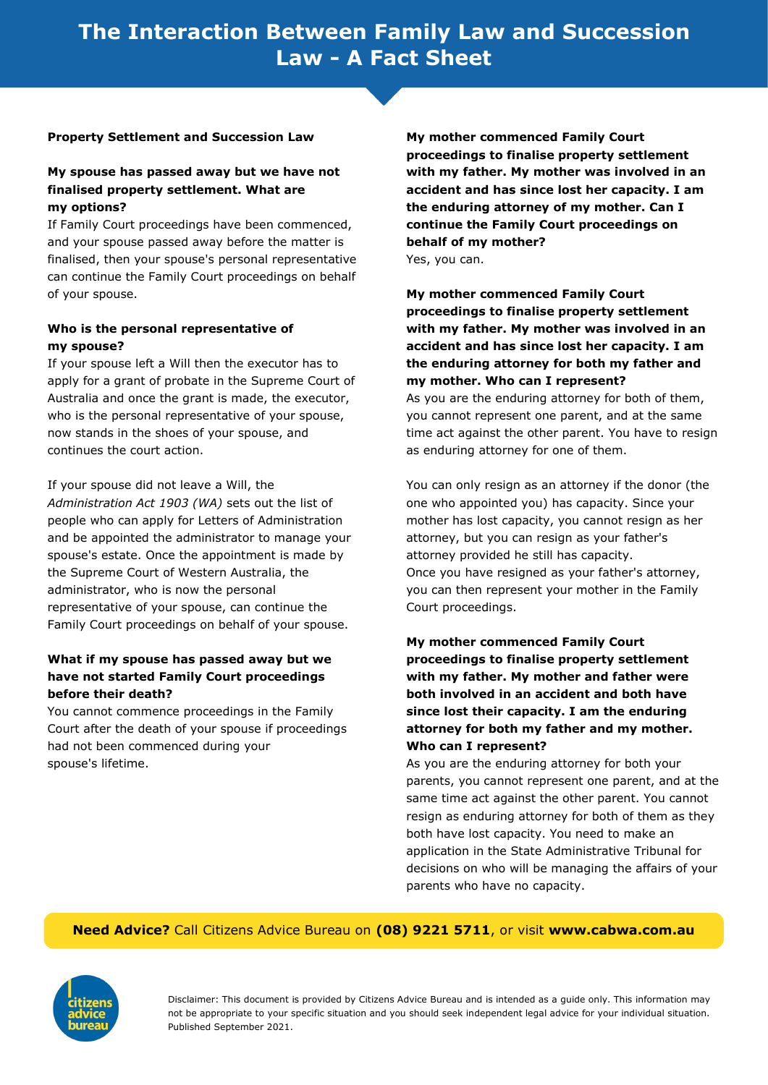# **The Interaction Between Family Law and Succession Law - A Fact Sheet**

#### **Property Settlement and Succession Law**

### **My spouse has passed away but we have not finalised property settlement. What are my options?**

If Family Court proceedings have been commenced, and your spouse passed away before the matter is finalised, then your spouse's personal representative can continue the Family Court proceedings on behalf of your spouse.

### **Who is the personal representative of my spouse?**

If your spouse left a Will then the executor has to apply for a grant of probate in the Supreme Court of Australia and once the grant is made, the executor, who is the personal representative of your spouse, now stands in the shoes of your spouse, and continues the court action.

If your spouse did not leave a Will, the *Administration Act 1903 (WA)* sets out the list of people who can apply for Letters of Administration and be appointed the administrator to manage your spouse's estate. Once the appointment is made by the Supreme Court of Western Australia, the administrator, who is now the personal representative of your spouse, can continue the Family Court proceedings on behalf of your spouse.

### **What if my spouse has passed away but we have not started Family Court proceedings before their death?**

You cannot commence proceedings in the Family Court after the death of your spouse if proceedings had not been commenced during your spouse's lifetime.

**My mother commenced Family Court proceedings to finalise property settlement with my father. My mother was involved in an accident and has since lost her capacity. I am the enduring attorney of my mother. Can I continue the Family Court proceedings on behalf of my mother?** Yes, you can.

**My mother commenced Family Court proceedings to finalise property settlement with my father. My mother was involved in an accident and has since lost her capacity. I am the enduring attorney for both my father and my mother. Who can I represent?**

As you are the enduring attorney for both of them, you cannot represent one parent, and at the same time act against the other parent. You have to resign as enduring attorney for one of them.

You can only resign as an attorney if the donor (the one who appointed you) has capacity. Since your mother has lost capacity, you cannot resign as her attorney, but you can resign as your father's attorney provided he still has capacity. Once you have resigned as your father's attorney, you can then represent your mother in the Family Court proceedings.

## **My mother commenced Family Court proceedings to finalise property settlement with my father. My mother and father were both involved in an accident and both have since lost their capacity. I am the enduring attorney for both my father and my mother. Who can I represent?**

As you are the enduring attorney for both your parents, you cannot represent one parent, and at the same time act against the other parent. You cannot resign as enduring attorney for both of them as they both have lost capacity. You need to make an application in the State Administrative Tribunal for decisions on who will be managing the affairs of your parents who have no capacity.

### **Need Advice?** Call Citizens Advice Bureau on **(08) 9221 5711**, or visit **www.cabwa.com.au**

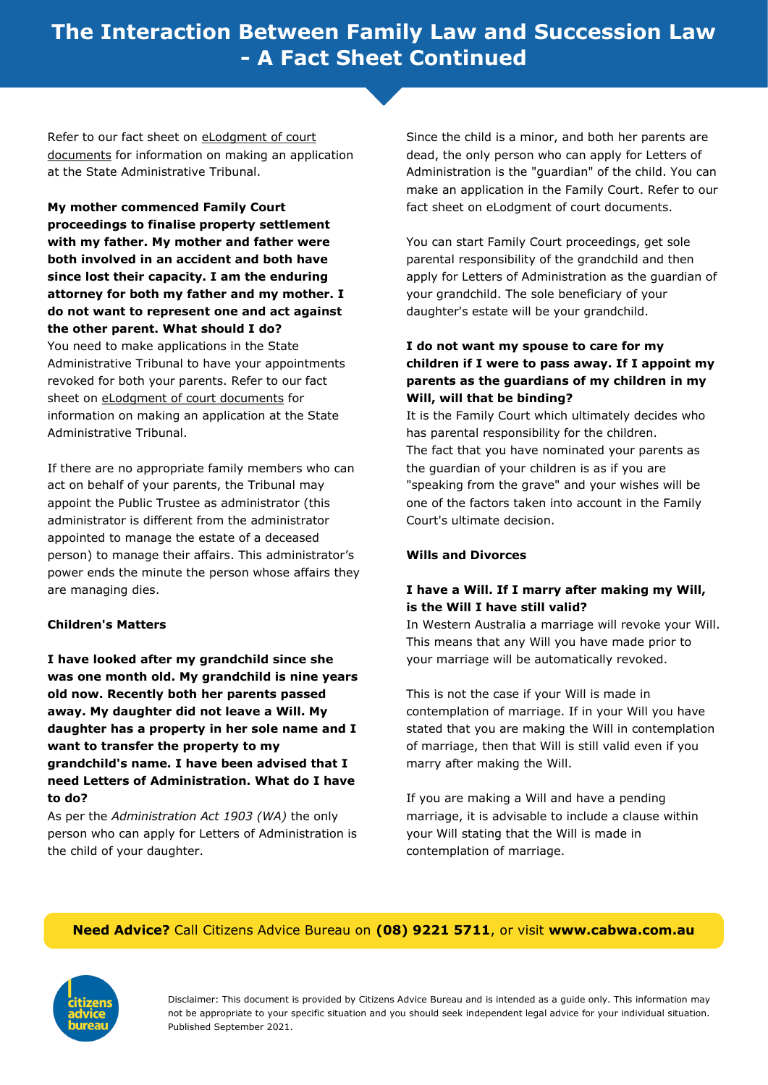## **The Interaction Between Family Law and Succession Law - A Fact Sheet Continued**

Refer to our fact sheet on [eLodgment of court](https://www.cabwa.com.au/get-help/elodgment-court-documents)  [documents](https://www.cabwa.com.au/get-help/elodgment-court-documents) for information on making an application at the State Administrative Tribunal.

**My mother commenced Family Court proceedings to finalise property settlement with my father. My mother and father were both involved in an accident and both have since lost their capacity. I am the enduring attorney for both my father and my mother. I do not want to represent one and act against the other parent. What should I do?** You need to make applications in the State Administrative Tribunal to have your appointments revoked for both your parents. Refer to our fact sheet on [eLodgment of court documents](https://www.cabwa.com.au/get-help/elodgment-court-documents) for information on making an application at the State Administrative Tribunal.

If there are no appropriate family members who can act on behalf of your parents, the Tribunal may appoint the Public Trustee as administrator (this administrator is different from the administrator appointed to manage the estate of a deceased person) to manage their affairs. This administrator's power ends the minute the person whose affairs they are managing dies.

### **Children's Matters**

**I have looked after my grandchild since she was one month old. My grandchild is nine years old now. Recently both her parents passed away. My daughter did not leave a Will. My daughter has a property in her sole name and I want to transfer the property to my grandchild's name. I have been advised that I need Letters of Administration. What do I have to do?**

As per the *Administration Act 1903 (WA)* the only person who can apply for Letters of Administration is the child of your daughter.

Since the child is a minor, and both her parents are dead, the only person who can apply for Letters of Administration is the "guardian" of the child. You can make an application in the Family Court. Refer to our fact sheet on eLodgment of court documents.

You can start Family Court proceedings, get sole parental responsibility of the grandchild and then apply for Letters of Administration as the guardian of your grandchild. The sole beneficiary of your daughter's estate will be your grandchild.

### **I do not want my spouse to care for my children if I were to pass away. If I appoint my parents as the guardians of my children in my Will, will that be binding?**

It is the Family Court which ultimately decides who has parental responsibility for the children. The fact that you have nominated your parents as the guardian of your children is as if you are "speaking from the grave" and your wishes will be one of the factors taken into account in the Family Court's ultimate decision.

### **Wills and Divorces**

## **I have a Will. If I marry after making my Will, is the Will I have still valid?**

In Western Australia a marriage will revoke your Will. This means that any Will you have made prior to your marriage will be automatically revoked.

This is not the case if your Will is made in contemplation of marriage. If in your Will you have stated that you are making the Will in contemplation of marriage, then that Will is still valid even if you marry after making the Will.

If you are making a Will and have a pending marriage, it is advisable to include a clause within your Will stating that the Will is made in contemplation of marriage.

### **Need Advice?** Call Citizens Advice Bureau on **(08) 9221 5711**, or visit **www.cabwa.com.au**

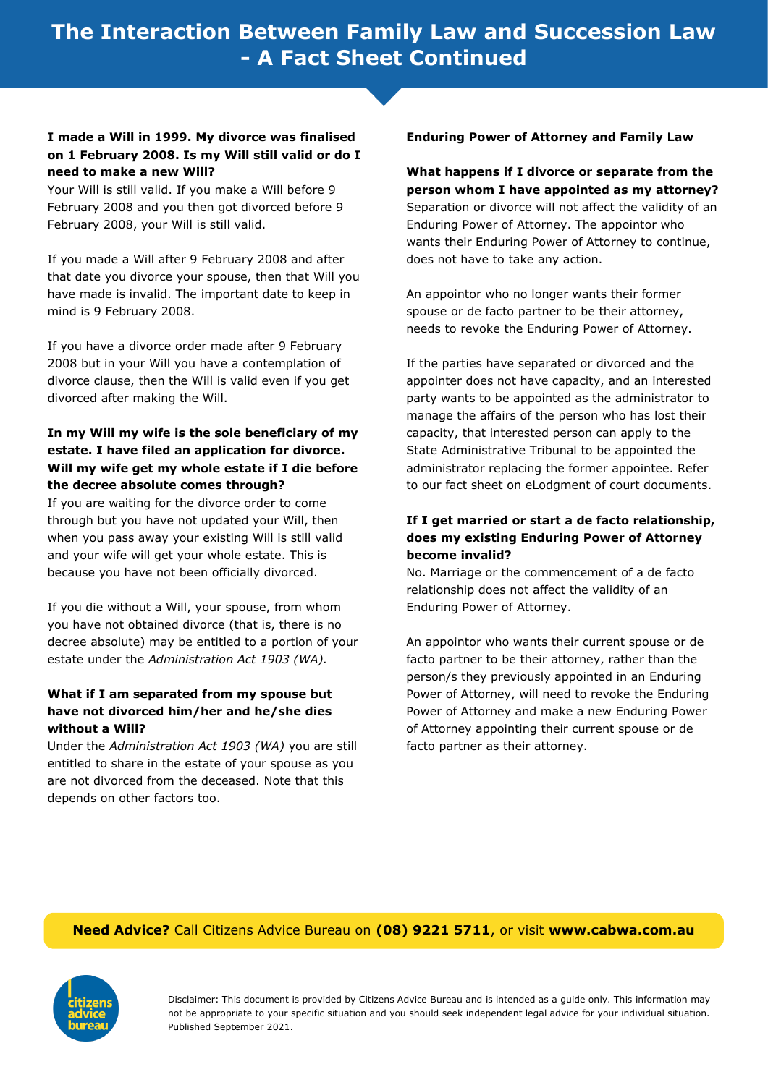## **I made a Will in 1999. My divorce was finalised on 1 February 2008. Is my Will still valid or do I need to make a new Will?**

Your Will is still valid. If you make a Will before 9 February 2008 and you then got divorced before 9 February 2008, your Will is still valid.

If you made a Will after 9 February 2008 and after that date you divorce your spouse, then that Will you have made is invalid. The important date to keep in mind is 9 February 2008.

If you have a divorce order made after 9 February 2008 but in your Will you have a contemplation of divorce clause, then the Will is valid even if you get divorced after making the Will.

## **In my Will my wife is the sole beneficiary of my estate. I have filed an application for divorce. Will my wife get my whole estate if I die before the decree absolute comes through?**

If you are waiting for the divorce order to come through but you have not updated your Will, then when you pass away your existing Will is still valid and your wife will get your whole estate. This is because you have not been officially divorced.

If you die without a Will, your spouse, from whom you have not obtained divorce (that is, there is no decree absolute) may be entitled to a portion of your estate under the *Administration Act 1903 (WA).* 

## **What if I am separated from my spouse but have not divorced him/her and he/she dies without a Will?**

Under the *Administration Act 1903 (WA)* you are still entitled to share in the estate of your spouse as you are not divorced from the deceased. Note that this depends on other factors too.

#### **Enduring Power of Attorney and Family Law**

**What happens if I divorce or separate from the person whom I have appointed as my attorney?** Separation or divorce will not affect the validity of an Enduring Power of Attorney. The appointor who wants their Enduring Power of Attorney to continue, does not have to take any action.

An appointor who no longer wants their former spouse or de facto partner to be their attorney, needs to revoke the Enduring Power of Attorney.

If the parties have separated or divorced and the appointer does not have capacity, and an interested party wants to be appointed as the administrator to manage the affairs of the person who has lost their capacity, that interested person can apply to the State Administrative Tribunal to be appointed the administrator replacing the former appointee. Refer to our fact sheet on eLodgment of court documents.

## **If I get married or start a de facto relationship, does my existing Enduring Power of Attorney become invalid?**

No. Marriage or the commencement of a de facto relationship does not affect the validity of an Enduring Power of Attorney.

An appointor who wants their current spouse or de facto partner to be their attorney, rather than the person/s they previously appointed in an Enduring Power of Attorney, will need to revoke the Enduring Power of Attorney and make a new Enduring Power of Attorney appointing their current spouse or de facto partner as their attorney.

### **Need Advice?** Call Citizens Advice Bureau on **(08) 9221 5711**, or visit **www.cabwa.com.au**

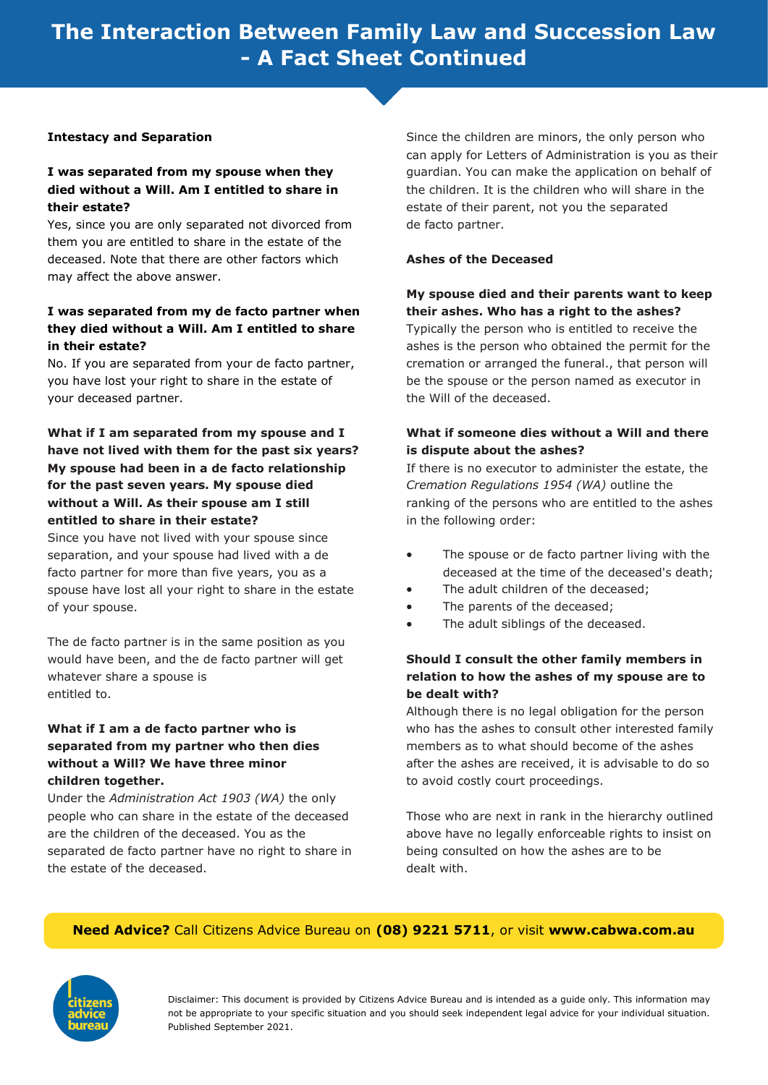# **The Interaction Between Family Law and Succession Law - A Fact Sheet Continued**

### **Intestacy and Separation**

## **I was separated from my spouse when they died without a Will. Am I entitled to share in their estate?**

Yes, since you are only separated not divorced from them you are entitled to share in the estate of the deceased. Note that there are other factors which may affect the above answer.

## **I was separated from my de facto partner when they died without a Will. Am I entitled to share in their estate?**

No. If you are separated from your de facto partner, you have lost your right to share in the estate of your deceased partner.

## **What if I am separated from my spouse and I have not lived with them for the past six years? My spouse had been in a de facto relationship for the past seven years. My spouse died without a Will. As their spouse am I still entitled to share in their estate?**

Since you have not lived with your spouse since separation, and your spouse had lived with a de facto partner for more than five years, you as a spouse have lost all your right to share in the estate of your spouse.

The de facto partner is in the same position as you would have been, and the de facto partner will get whatever share a spouse is entitled to.

### **What if I am a de facto partner who is separated from my partner who then dies without a Will? We have three minor children together.**

Under the *Administration Act 1903 (WA)* the only people who can share in the estate of the deceased are the children of the deceased. You as the separated de facto partner have no right to share in the estate of the deceased.

Since the children are minors, the only person who can apply for Letters of Administration is you as their guardian. You can make the application on behalf of the children. It is the children who will share in the estate of their parent, not you the separated de facto partner.

### **Ashes of the Deceased**

## **My spouse died and their parents want to keep their ashes. Who has a right to the ashes?** Typically the person who is entitled to receive the ashes is the person who obtained the permit for the cremation or arranged the funeral., that person will be the spouse or the person named as executor in the Will of the deceased.

## **What if someone dies without a Will and there is dispute about the ashes?**

If there is no executor to administer the estate, the *Cremation Regulations 1954 (WA)* outline the ranking of the persons who are entitled to the ashes in the following order:

- The spouse or de facto partner living with the deceased at the time of the deceased's death;
- The adult children of the deceased:
- The parents of the deceased;
- The adult siblings of the deceased.

## **Should I consult the other family members in relation to how the ashes of my spouse are to be dealt with?**

Although there is no legal obligation for the person who has the ashes to consult other interested family members as to what should become of the ashes after the ashes are received, it is advisable to do so to avoid costly court proceedings.

Those who are next in rank in the hierarchy outlined above have no legally enforceable rights to insist on being consulted on how the ashes are to be dealt with.

## **Need Advice?** Call Citizens Advice Bureau on **(08) 9221 5711**, or visit **www.cabwa.com.au**